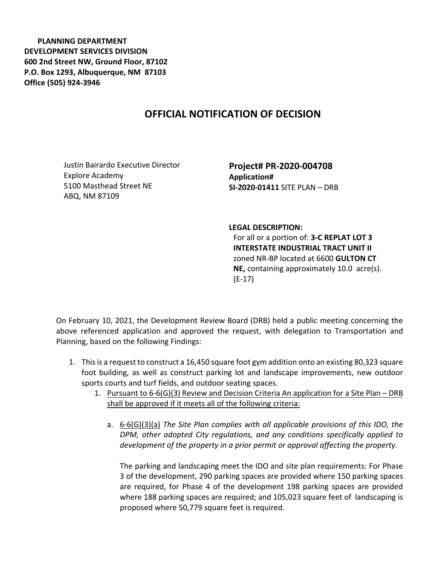**PLANNING DEPARTMENT DEVELOPMENT SERVICES DIVISION 600 2nd Street NW, Ground Floor, 87102 P.O. Box 1293, Albuquerque, NM 87103 Office (505) 924-3946** 

## **OFFICIAL NOTIFICATION OF DECISION**

Justin Bairardo Executive Director Explore Academy 5100 Masthead Street NE ABQ, NM 87109

**Project# PR-2020-004708 Application# SI-2020-01411** SITE PLAN – DRB

## **LEGAL DESCRIPTION:**

For all or a portion of: **3-C REPLAT LOT 3 INTERSTATE INDUSTRIAL TRACT UNIT II**  zoned NR-BP located at 6600 **GULTON CT NE,** containing approximately 10.0 acre(s). (E-17)

On February 10, 2021, the Development Review Board (DRB) held a public meeting concerning the above referenced application and approved the request, with delegation to Transportation and Planning, based on the following Findings:

- 1. This is a request to construct a 16,450 square foot gym addition onto an existing 80,323 square foot building, as well as construct parking lot and landscape improvements, new outdoor sports courts and turf fields, and outdoor seating spaces.
	- 1. Pursuant to 6-6(G)(3) Review and Decision Criteria An application for a Site Plan DRB shall be approved if it meets all of the following criteria:
		- a. 6-6(G)(3)(a) *The Site Plan complies with all applicable provisions of this IDO, the DPM, other adopted City regulations, and any conditions specifically applied to development of the property in a prior permit or approval affecting the property.*

The parking and landscaping meet the IDO and site plan requirements: For Phase 3 of the development, 290 parking spaces are provided where 150 parking spaces are required, for Phase 4 of the development 198 parking spaces are provided where 188 parking spaces are required; and 105,023 square feet of landscaping is proposed where 50,779 square feet is required.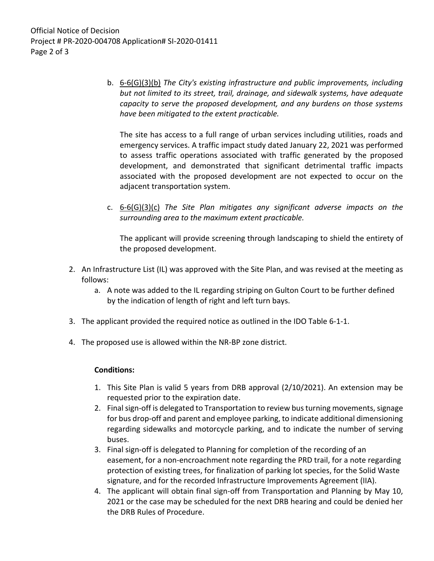Official Notice of Decision Project # PR-2020-004708 Application# SI-2020-01411 Page 2 of 3

> b. 6-6(G)(3)(b) *The City's existing infrastructure and public improvements, including but not limited to its street, trail, drainage, and sidewalk systems, have adequate capacity to serve the proposed development, and any burdens on those systems have been mitigated to the extent practicable.*

The site has access to a full range of urban services including utilities, roads and emergency services. A traffic impact study dated January 22, 2021 was performed to assess traffic operations associated with traffic generated by the proposed development, and demonstrated that significant detrimental traffic impacts associated with the proposed development are not expected to occur on the adjacent transportation system.

c. 6-6(G)(3)(c) *The Site Plan mitigates any significant adverse impacts on the surrounding area to the maximum extent practicable.* 

The applicant will provide screening through landscaping to shield the entirety of the proposed development.

- 2. An Infrastructure List (IL) was approved with the Site Plan, and was revised at the meeting as follows:
	- a. A note was added to the IL regarding striping on Gulton Court to be further defined by the indication of length of right and left turn bays.
- 3. The applicant provided the required notice as outlined in the IDO Table 6-1-1.
- 4. The proposed use is allowed within the NR-BP zone district.

## **Conditions:**

- 1. This Site Plan is valid 5 years from DRB approval (2/10/2021). An extension may be requested prior to the expiration date.
- 2. Final sign-off is delegated to Transportation to review bus turning movements, signage for bus drop-off and parent and employee parking, to indicate additional dimensioning regarding sidewalks and motorcycle parking, and to indicate the number of serving buses.
- 3. Final sign-off is delegated to Planning for completion of the recording of an easement, for a non-encroachment note regarding the PRD trail, for a note regarding protection of existing trees, for finalization of parking lot species, for the Solid Waste signature, and for the recorded Infrastructure Improvements Agreement (IIA).
- 4. The applicant will obtain final sign-off from Transportation and Planning by May 10, 2021 or the case may be scheduled for the next DRB hearing and could be denied her the DRB Rules of Procedure.